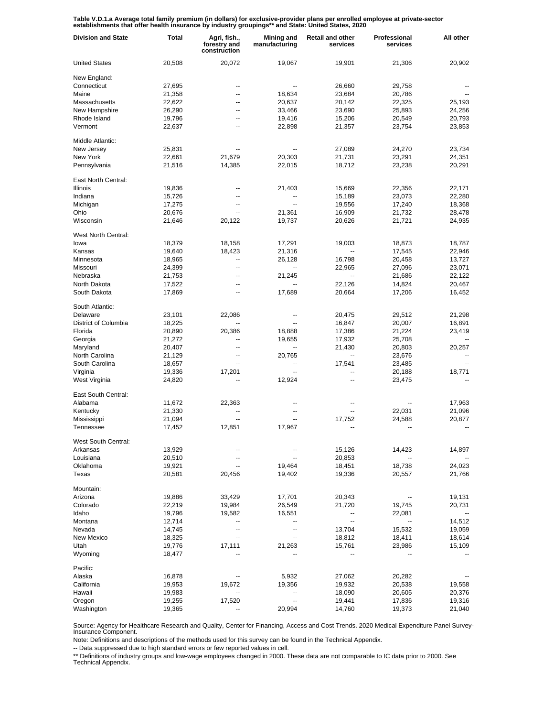Table V.D.1.a Average total family premium (in dollars) for exclusive-provider plans per enrolled employee at private-sector<br>establishments that offer health insurance by industry groupings\*\* and State: United States, 2020

| <b>Division and State</b> | Total  | Agri, fish.,<br>forestry and<br>construction | Mining and<br>manufacturing | <b>Retail and other</b><br>services | Professional<br>services | All other                |
|---------------------------|--------|----------------------------------------------|-----------------------------|-------------------------------------|--------------------------|--------------------------|
| <b>United States</b>      | 20,508 | 20,072                                       | 19,067                      | 19,901                              | 21,306                   | 20,902                   |
| New England:              |        |                                              |                             |                                     |                          |                          |
| Connecticut               | 27,695 | --                                           |                             | 26,660                              | 29,758                   |                          |
| Maine                     | 21,358 | $\overline{a}$                               | 18,634                      | 23,684                              | 20,786                   |                          |
| Massachusetts             | 22,622 | $\overline{a}$                               | 20,637                      | 20,142                              | 22,325                   | 25,193                   |
| New Hampshire             | 26,290 | --                                           | 33,466                      | 23,690                              | 25,893                   | 24,256                   |
| Rhode Island              | 19,796 | --                                           | 19,416                      | 15,206                              | 20,549                   | 20,793                   |
| Vermont                   | 22,637 | --                                           | 22,898                      | 21,357                              | 23,754                   | 23,853                   |
| Middle Atlantic:          |        |                                              |                             |                                     |                          |                          |
| New Jersey                | 25,831 |                                              |                             | 27,089                              | 24,270                   | 23,734                   |
| New York                  | 22,661 | 21,679                                       | 20,303                      | 21,731                              | 23,291                   | 24,351                   |
| Pennsylvania              | 21,516 | 14,385                                       | 22,015                      | 18,712                              | 23,238                   | 20,291                   |
| East North Central:       |        |                                              |                             |                                     |                          |                          |
| Illinois                  | 19,836 | --                                           | 21,403                      | 15,669                              | 22,356                   | 22,171                   |
| Indiana                   | 15,726 | --                                           | --                          | 15,189                              | 23,073                   | 22,280                   |
| Michigan                  | 17,275 | --                                           | $\overline{a}$              | 19,556                              | 17,240                   | 18,368                   |
| Ohio                      | 20,676 | --                                           | 21,361                      | 16,909                              | 21,732                   | 28,478                   |
| Wisconsin                 | 21,646 | 20,122                                       | 19,737                      | 20,626                              | 21,721                   | 24,935                   |
|                           |        |                                              |                             |                                     |                          |                          |
| West North Central:       |        |                                              |                             |                                     |                          |                          |
| lowa                      | 18,379 | 18,158                                       | 17,291                      | 19,003                              | 18,873                   | 18,787                   |
| Kansas                    | 19,640 | 18,423                                       | 21,316                      |                                     | 17,545                   | 22,946                   |
| Minnesota                 | 18,965 | $\overline{a}$                               | 26,128                      | 16,798                              | 20,458                   | 13,727                   |
| Missouri                  | 24,399 | $\overline{a}$                               |                             | 22,965                              | 27,096                   | 23,071                   |
| Nebraska                  | 21,753 | $\overline{a}$                               | 21,245                      | $\overline{a}$                      | 21,686                   | 22,122                   |
| North Dakota              | 17,522 | --                                           |                             | 22,126                              | 14,824                   | 20,467                   |
| South Dakota              | 17,869 | $\overline{a}$                               | 17,689                      | 20,664                              | 17,206                   | 16,452                   |
| South Atlantic:           |        |                                              |                             |                                     |                          |                          |
| Delaware                  | 23,101 | 22,086                                       |                             | 20,475                              | 29,512                   | 21,298                   |
| District of Columbia      | 18,225 |                                              |                             | 16,847                              | 20,007                   | 16,891                   |
| Florida                   | 20,890 | 20,386                                       | 18,888                      | 17,386                              | 21,224                   | 23,419                   |
| Georgia                   | 21,272 |                                              | 19,655                      | 17,932                              | 25,708                   |                          |
| Maryland                  | 20,407 | --                                           | --                          | 21,430                              | 20,803                   | 20,257                   |
| North Carolina            | 21,129 | --                                           | 20,765                      |                                     | 23,676                   |                          |
| South Carolina            | 18,657 | --                                           |                             | 17,541                              | 23,485                   |                          |
| Virginia                  | 19,336 | 17,201                                       |                             |                                     | 20,188                   | 18,771                   |
| West Virginia             | 24,820 |                                              | 12,924                      |                                     | 23,475                   |                          |
| East South Central:       |        |                                              |                             |                                     |                          |                          |
| Alabama                   | 11,672 | 22,363                                       | --                          | --                                  |                          | 17,963                   |
| Kentucky                  | 21,330 | --                                           | --                          | $\overline{\phantom{a}}$            | 22,031                   | 21,096                   |
| Mississippi               | 21,094 | --                                           | --                          | 17,752                              | 24,588                   | 20,877                   |
| Tennessee                 | 17,452 | 12,851                                       | 17,967                      | --                                  | --                       | $\overline{\phantom{a}}$ |
|                           |        |                                              |                             |                                     |                          |                          |
| West South Central:       |        |                                              |                             |                                     |                          |                          |
| Arkansas                  | 13,929 |                                              |                             | 15,126                              | 14,423                   | 14,897                   |
| Louisiana                 | 20,510 | --                                           |                             | 20,853                              |                          |                          |
| Oklahoma                  | 19,921 | --                                           | 19,464                      | 18,451                              | 18,738                   | 24,023                   |
| Texas                     | 20,581 | 20,456                                       | 19,402                      | 19,336                              | 20,557                   | 21,766                   |
| Mountain:                 |        |                                              |                             |                                     |                          |                          |
| Arizona                   | 19,886 | 33,429                                       | 17,701                      | 20,343                              | --                       | 19,131                   |
| Colorado                  | 22,219 | 19,984                                       | 26,549                      | 21,720                              | 19,745                   | 20,731                   |
| Idaho                     | 19,796 | 19,582                                       | 16,551                      | ÷                                   | 22,081                   |                          |
| Montana                   | 12,714 |                                              |                             | $\overline{\phantom{a}}$            |                          | 14,512                   |
| Nevada                    | 14,745 | --                                           |                             | 13,704                              | 15,532                   | 19,059                   |
| New Mexico                | 18,325 | ۰.                                           |                             | 18,812                              | 18,411                   | 18,614                   |
| Utah                      | 19,776 | 17,111                                       | 21,263                      | 15,761                              | 23,986                   | 15,109                   |
| Wyoming                   | 18,477 |                                              |                             |                                     |                          |                          |
| Pacific:                  |        |                                              |                             |                                     |                          |                          |
| Alaska                    | 16,878 |                                              | 5,932                       | 27,062                              | 20,282                   |                          |
| California                | 19,953 | 19,672                                       | 19,356                      | 19,932                              | 20,538                   | 19,558                   |
| Hawaii                    |        |                                              |                             |                                     |                          |                          |
|                           | 19,983 | --                                           | --<br>--                    | 18,090                              | 20,605                   | 20,376                   |
| Oregon                    | 19,255 | 17,520                                       |                             | 19,441                              | 17,836                   | 19,316                   |
| Washington                | 19,365 |                                              | 20,994                      | 14,760                              | 19,373                   | 21,040                   |

Source: Agency for Healthcare Research and Quality, Center for Financing, Access and Cost Trends. 2020 Medical Expenditure Panel Survey-Insurance Component.

Note: Definitions and descriptions of the methods used for this survey can be found in the Technical Appendix.

-- Data suppressed due to high standard errors or few reported values in cell.

\*\* Definitions of industry groups and low-wage employees changed in 2000. These data are not comparable to IC data prior to 2000. See Technical Appendix.